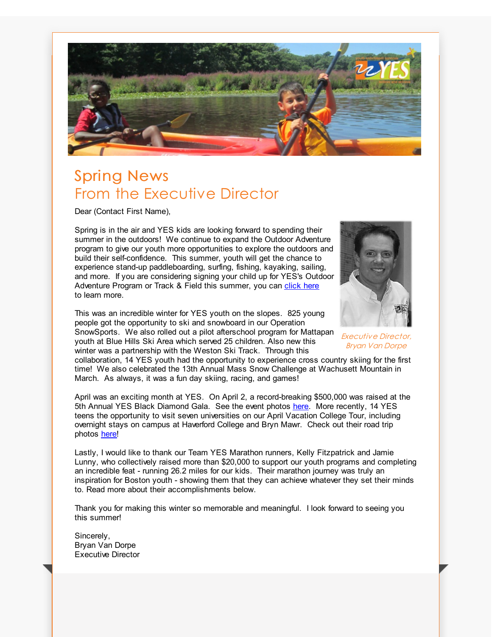

## Spring News From the Executive Director

Dear (Contact First Name),

Spring is in the air and YES kids are looking forward to spending their summer in the outdoors! We continue to expand the Outdoor Adventure program to give our youth more opportunities to explore the outdoors and build their self-confidence. This summer, youth will get the chance to experience stand-up paddleboarding, surfing, fishing, kayaking, sailing, and more. If you are considering signing your child up for YES's Outdoor Adventure Program or Track & Field this summer, you can [click](http://r20.rs6.net/tn.jsp?f=001oR4Y_UK3xVXRdJKqABT5IKZl5QCxC0OC1YJ80KPNoOzjMWswkymwSaKRZ3SySUMDXYZDV7yqKMjKxfDkIBQku0NqvX6utVoUkkjC39CeBkKSkiuiGfh3KGQb36mh1nGDMdsFYrB9kEDnW1eQrYL0bM0XjBrGjRDVPKKE0caQodYo-CQcta3-tC9zGsKXMplIpmvKBVCXideFev4vezaSXg==&c=&ch=) here to learn more.

This was an incredible winter for YES youth on the slopes. 825 young people got the opportunity to ski and snowboard in our Operation SnowSports. We also rolled out a pilot afterschool program for Mattapan youth at Blue Hills Ski Area which served 25 children. Also new this winter was a partnership with the Weston Ski Track. Through this



Executive Director, Bryan Van Dorpe

collaboration, 14 YES youth had the opportunity to experience cross country skiing for the first time! We also celebrated the 13th Annual Mass Snow Challenge at Wachusett Mountain in March. As always, it was a fun day skiing, racing, and games!

April was an exciting month at YES. On April 2, a record-breaking \$500,000 was raised at the 5th Annual YES Black Diamond Gala. See the event photos [here](http://r20.rs6.net/tn.jsp?f=001oR4Y_UK3xVXRdJKqABT5IKZl5QCxC0OC1YJ80KPNoOzjMWswkymwSYnpOagbHm-utZY4VY-CUEjY4lX3PgdKG9X5I_Aji7ROoh30pDRXZM-PGFiIS-2EO_1dheR8BfNVvx9XyRmiq81cxV8ACwPhom3PrbYIIckb8RykuzIJJbyqqwUHMZhRG02-gioVY0ZnG9G9d4tl-6RgPHM72DnfZeHWwxFQq4mlNg_eMVZ_fEYueJBOQPg7YVnYKcZYk1NomXKnfOPrAz0Uta5gKqK6Ug==&c=&ch=). More recently, 14 YES teens the opportunity to visit seven universities on our April Vacation College Tour, including overnight stays on campus at Haverford College and Bryn Mawr. Check out their road trip photos [here](http://r20.rs6.net/tn.jsp?f=001oR4Y_UK3xVXRdJKqABT5IKZl5QCxC0OC1YJ80KPNoOzjMWswkymwSSpLNjR4kVZP7GQZSDovkQyrCpOkkfqtkhkpzV1YajrDVNwi1I_286OdCFRBP0OEB4Ubjobc0v8RwDsUChE6BbPjzf7E9kfwVD_ttU8ypUD3CYj0l_OrTmi5TghW3d---E6fKsIaOHA0d7V_PXTEUWRQMYlfigXhNu87JVDBU8EvYrnU-cYRugmjVH339YthAyIDEKvRNg0gSLxA8x-WbiwYiXXeq80_HQ==&c=&ch=)!

Lastly, I would like to thank our Team YES Marathon runners, Kelly Fitzpatrick and Jamie Lunny, who collectively raised more than \$20,000 to support our youth programs and completing an incredible feat - running 26.2 miles for our kids. Their marathon journey was truly an inspiration for Boston youth - showing them that they can achieve whatever they set their minds to. Read more about their accomplishments below.

Thank you for making this winter so memorable and meaningful. I look forward to seeing you this summer!

Sincerely, Bryan Van Dorpe Executive Director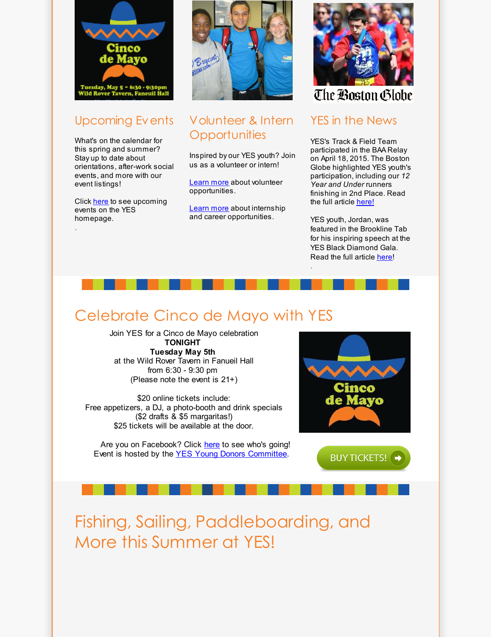

#### Upcoming Events

What's on the calendar for this spring and summer? Stay up to date about orientations, after-work social events, and more with our event listings!

Click [here](http://r20.rs6.net/tn.jsp?f=001oR4Y_UK3xVXRdJKqABT5IKZl5QCxC0OC1YJ80KPNoOzjMWswkymwSQCzpCSSoKQotRGASGlT0SzHw3f4sKY7-uoS3-vQz2VVbIVuHsZdNVTg_TTAgpd6Y0CvfCBvYALX0qhKfUSFByMZGW_mi4wvtA-9Ijk7l60EbRJPpYAPB3Q=&c=&ch=) to see upcoming events on the YES homepage.

.



#### Volunteer & Intern **Opportunities**

Inspired by our YES youth? Join us as a volunteer or intern!

[Learn](http://r20.rs6.net/tn.jsp?f=001oR4Y_UK3xVXRdJKqABT5IKZl5QCxC0OC1YJ80KPNoOzjMWswkymwSb3wBOCXgriYjlcOeWnAtNKzDwXA6ULi0GsvSGUjur31VzrNMKYi-fMefYiE-fwTwkj47jzu6ce9MqozrN9SOdSak4M-bgzHs5QyX_ICKsmjof2i4AiM60UeY0JzgX9p2lNR0gEUIsz5Po7Lh2qE0Bk=&c=&ch=) more about volunteer opportunities.

[Learn](http://r20.rs6.net/tn.jsp?f=001oR4Y_UK3xVXRdJKqABT5IKZl5QCxC0OC1YJ80KPNoOzjMWswkymwSVk7QEps8e7dZ94bdI4yOd223oDqJ-V5wFMwZd_J3ai1g6H3pdhexLKsw3YlRB0UYQajOBl0hlXUnwQjwukrdEwyYOry0I_tuhuNQY3XHvBcZGj0Lf1mQEskFUtKluuY6BReimBhDvOA&c=&ch=) more about internship and career opportunities.



## The Boston Globe

#### YES in the News

YES's Track & Field Team participated in the BAA Relay on April 18, 2015. The Boston Globe highlighted YES youth's participation, including our *12 Year and Under* runners finishing in 2nd Place. Read the full article [here!](http://r20.rs6.net/tn.jsp?f=001oR4Y_UK3xVXRdJKqABT5IKZl5QCxC0OC1YJ80KPNoOzjMWswkymwScVGl25nG8rL-ATujf4tvEXcU0LivD45wviiDyU9QXklOAYe9eEE3L2HXc3RZUjDfmdSu36OJea0QpXk0EBM9bxsXACf4WcvxX8BdRMXPud0kXWLfzcqrdKlgJsc9xHpXylqzorcEtSRLy11yjWcws8TEAZ1UVzAOeifvE4GunY9hjsS_wLWU2wHBwKMqHegVTt5NnJLhM7dIFYLrUsQe1sKCGeaOE6ZSGXb5MLlrPwmfc9E7YLkEZ0FMhQGMh9t-Y6JqBOQKSQ3-sn9cfIw1XQ=&c=&ch=)

YES youth, Jordan, was featured in the Brookline Tab for his inspiring speech at the YES Black Diamond Gala. Read the full article [here](http://r20.rs6.net/tn.jsp?f=001oR4Y_UK3xVXRdJKqABT5IKZl5QCxC0OC1YJ80KPNoOzjMWswkymwScVGl25nG8rLhlMgm_9i84iVMh1yJhwtN6jiffDQwJiONKDFJr6kBHumsr9xovomDQN90gN77cuL_S5-lXTBeHYkP51qb0HZIZYzq9iuDWriAPnFtjmWKyrtn3PxsO4FEw7jOvTmed-Eg-AtPnGAERFIhYEZrApN-xWX7x3sTSKiMuQQ95k6J1s=&c=&ch=)!

.

#### Celebrate Cinco de Mayo with YES

Join YES for a Cinco de Mayo celebration **TONIGHT Tuesday May 5th** at the Wild Rover Tavern in Fanueil Hall from 6:30 - 9:30 pm (Please note the event is 21+)

\$20 online tickets include: Free appetizers, a DJ, a photo-booth and drink specials (\$2 drafts & \$5 margaritas!) \$25 tickets will be available at the door.

Are you on Facebook? Click [here](http://r20.rs6.net/tn.jsp?f=001oR4Y_UK3xVXRdJKqABT5IKZl5QCxC0OC1YJ80KPNoOzjMWswkymwSeIXtkyP-_xQWStEmRyUtE5sqRHYbYq3S0OUm_ysBGjRhx_Tm-aTn-f9_uHzhipP4vhbtTdP_N46KXeH4gG8U931dfOhb3Ukcwh4__Gklv3GckkGnyqBXYpVcrDcoLNb2eZiOWhyz-K8w2FC2SyFfGU7X8yQ0U_xew==&c=&ch=) to see who's going! Event is hosted by the YES Young Donors [Committee](http://r20.rs6.net/tn.jsp?f=001oR4Y_UK3xVXRdJKqABT5IKZl5QCxC0OC1YJ80KPNoOzjMWswkymwSeIXtkyP-_xQKS8sQMBKkBRSyeIGMjXkdcco1inxixP6Dgp8eciL-J6JxrSvFkAAaz4i6XZz_DUnesRH9l0bw8hNwCJc8vymgtO639WqOTsmZG6lY6FVLlYrzWVaSxP4AA==&c=&ch=).



**BUY TICKETS!** →

Fishing, Sailing, Paddleboarding, and More this Summer at YES!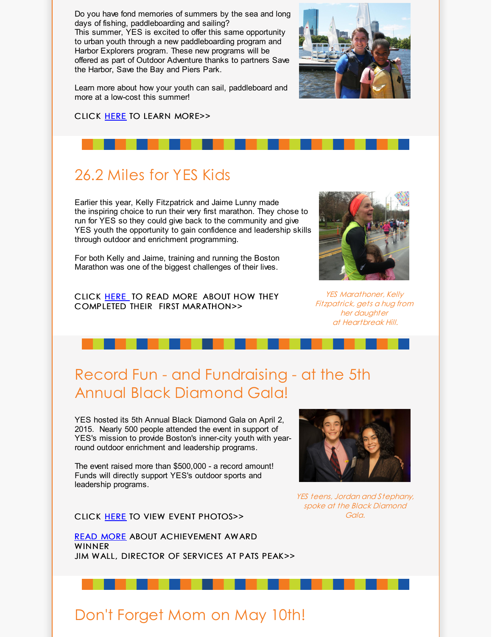Do you have fond memories of summers by the sea and long days of fishing, paddleboarding and sailing? This summer, YES is excited to offer this same opportunity to urban youth through a new paddleboarding program and Harbor Explorers program. These new programs will be offered as part of Outdoor Adventure thanks to partners Save the Harbor, Save the Bay and Piers Park.

Learn more about how your youth can sail, paddleboard and more at a low-cost this summer!

CLICK [HERE](http://r20.rs6.net/tn.jsp?f=001oR4Y_UK3xVXRdJKqABT5IKZl5QCxC0OC1YJ80KPNoOzjMWswkymwSaopka3zRabFsfwqUU0NiqBu6OIjUFi7Kkh6POLeLD1D0_euamYmC8L2VSKWz-dYBt8dH5wQjXO56jKcd0Qrh3VEAnJYGSFiqF79-JSCHhZ2pnwHy-EO_bmUKRjikTtqOw==&c=&ch=) TO LEARN MORE>>



# 26.2 Miles for YES Kids

Earlier this year, Kelly Fitzpatrick and Jaime Lunny made the inspiring choice to run their very first marathon. They chose to run for YES so they could give back to the community and give YES youth the opportunity to gain confidence and leadership skills through outdoor and enrichment programming.

For both Kelly and Jaime, training and running the Boston Marathon was one of the biggest challenges of their lives.

CLICK [HERE](http://r20.rs6.net/tn.jsp?f=001oR4Y_UK3xVXRdJKqABT5IKZl5QCxC0OC1YJ80KPNoOzjMWswkymwSWlAymkWi-ZPy2U5EjFQ7mbnW67Of6TQ0U2psgoE5RYfDmLIq2jRMFoM2D0Cm4TmfCXnzJO1LuGi4bzY7ctA4XNZOwLx55WN3jvBqlFw9Mm8Qa53hZcnI3iepTP6_K4dJg==&c=&ch=) TO READ MORE ABOUT HOW THEY COMPLETED THEIR FIRST MARATHON>>



YES Marathoner, Kelly Fitzpatrick, gets <sup>a</sup> hug from her daughter at Heartbreak Hill.

# Record Fun - and Fundraising - at the 5th Annual Black Diamond Gala!

YES hosted its 5th Annual Black Diamond Gala on April 2, 2015. Nearly 500 people attended the event in support of YES's mission to provide Boston's inner-city youth with yearround outdoor enrichment and leadership programs.

The event raised more than \$500,000 - a record amount! Funds will directly support YES's outdoor sports and leadership programs.

CLICK [HERE](http://r20.rs6.net/tn.jsp?f=001oR4Y_UK3xVXRdJKqABT5IKZl5QCxC0OC1YJ80KPNoOzjMWswkymwSYnpOagbHm-utZY4VY-CUEjY4lX3PgdKG9X5I_Aji7ROoh30pDRXZM-PGFiIS-2EO_1dheR8BfNVvx9XyRmiq81cxV8ACwPhom3PrbYIIckb8RykuzIJJbyqqwUHMZhRG02-gioVY0ZnG9G9d4tl-6RgPHM72DnfZeHWwxFQq4mlNg_eMVZ_fEYueJBOQPg7YVnYKcZYk1NomXKnfOPrAz0Uta5gKqK6Ug==&c=&ch=) TO VIEW EVENT PHOTOS>>

READ [MORE](http://r20.rs6.net/tn.jsp?f=001oR4Y_UK3xVXRdJKqABT5IKZl5QCxC0OC1YJ80KPNoOzjMWswkymwSWlAymkWi-ZPnhySHXfhbTgF_-0kkkDx5KrQjUDZVg77s-xmVKqgxu8evKAO3EfUN7LHWzt-qsZGGJotnM2L8uyAfNFQaOMFs-0dpdGXKPHQDU7bz836zJr2M0-wjq9lkA==&c=&ch=) ABOUT ACHIEVEMENT AWARD **WINNER** JIM WALL, DIRECTOR OF SERVICES AT PATS PEAK>>



YES teens, Jordan and Stephany, spoke at the Black Diamond Gala.

## Don't Forget Mom on May 10th!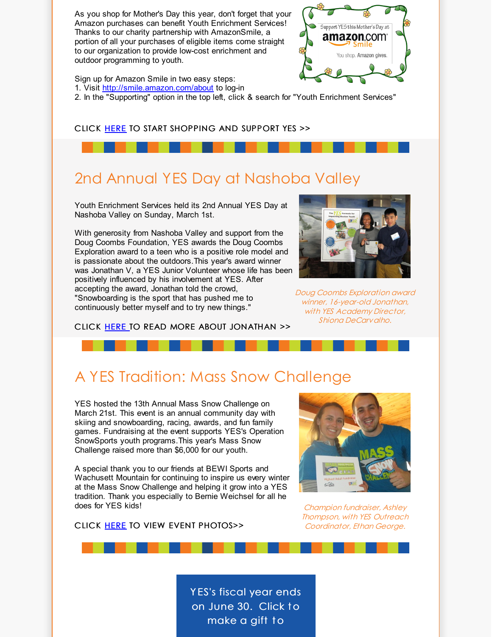As you shop for Mother's Day this year, don't forget that your Amazon purchases can benefit Youth Enrichment Services! Thanks to our charity partnership with AmazonSmile, a portion of all your purchases of eligible items come straight to our organization to provide low-cost enrichment and outdoor programming to youth.

Sign up for Amazon Smile in two easy steps:

1. Visit [http://smile.amazon.com/about](http://r20.rs6.net/tn.jsp?f=001oR4Y_UK3xVXRdJKqABT5IKZl5QCxC0OC1YJ80KPNoOzjMWswkymwScVGl25nG8rLpd2vuwjwn3chtQeFXnqAHM0g7tTCqqK9uLw44nNLEZO5D1ceIHzMKSU7umT68le6V_sL3ROBORJYrwD-SCg3lxgYM20l7oVd8W5j7XvBuQPZLuxoaH4Hxg==&c=&ch=) to log-in

2. In the "Supporting" option in the top left, click & search for "Youth Enrichment Services"

#### CLICK [HERE](http://r20.rs6.net/tn.jsp?f=001oR4Y_UK3xVXRdJKqABT5IKZl5QCxC0OC1YJ80KPNoOzjMWswkymwScVGl25nG8rLpd2vuwjwn3chtQeFXnqAHM0g7tTCqqK9uLw44nNLEZO5D1ceIHzMKSU7umT68le6V_sL3ROBORJYrwD-SCg3lxgYM20l7oVd8W5j7XvBuQPZLuxoaH4Hxg==&c=&ch=) TO START SHOPPING AND SUPPORT YES >>

#### 2nd Annual YES Day at Nashoba Valley

Youth Enrichment Services held its 2nd Annual YES Day at Nashoba Valley on Sunday, March 1st.

With generosity from Nashoba Valley and support from the Doug Coombs Foundation, YES awards the Doug Coombs Exploration award to a teen who is a positive role model and is passionate about the outdoors.This year's award winner was Jonathan V, a YES Junior Volunteer whose life has been positively influenced by his involvement at YES. After accepting the award, Jonathan told the crowd, "Snowboarding is the sport that has pushed me to continuously better myself and to try new things."



Doug Coombs Exploration award winner, 16-year-old Jonathan, with YES Academy Director, Shiona DeCarvalho.

CLICK [HERE](http://r20.rs6.net/tn.jsp?f=001oR4Y_UK3xVXRdJKqABT5IKZl5QCxC0OC1YJ80KPNoOzjMWswkymwSaopka3zRabFXXQI4-MyAuwmrGU32jW1JAcvbsCtoNZnW6KWKarhmAMmMXmA0mk8kfDkZhOxpFMGShA0U_GXvmHdqUI-F7ck_bfpY0dKI-RwHw92yE-btTxdnhgXaa10jg==&c=&ch=) TO READ MORE ABOUT JONATHAN >>

### A YES Tradition: Mass Snow Challenge

YES hosted the 13th Annual Mass Snow Challenge on March 21st. This event is an annual community day with skiing and snowboarding, racing, awards, and fun family games. Fundraising at the event supports YES's Operation SnowSports youth programs.This year's Mass Snow Challenge raised more than \$6,000 for our youth.

A special thank you to our friends at BEWI Sports and Wachusett Mountain for continuing to inspire us every winter at the Mass Snow Challenge and helping it grow into a YES tradition. Thank you especially to Bernie Weichsel for all he does for YES kids!





Champion fundraiser, Ashley Thompson, with YES Outreach Coordinator, Ethan George.

Y ES's fiscal year ends on June 30. Click to make a gift to